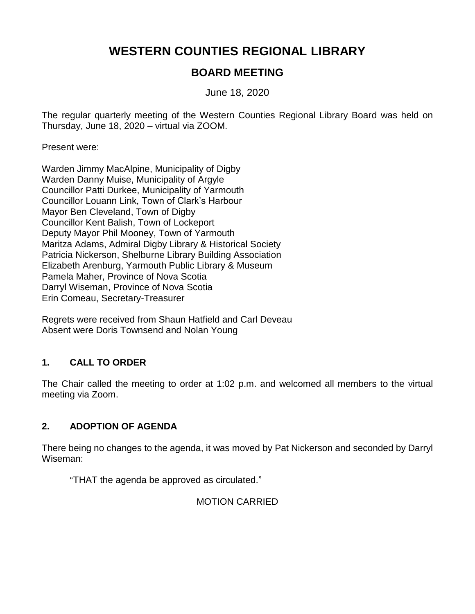# **WESTERN COUNTIES REGIONAL LIBRARY**

# **BOARD MEETING**

June 18, 2020

The regular quarterly meeting of the Western Counties Regional Library Board was held on Thursday, June 18, 2020 – virtual via ZOOM.

Present were:

Warden Jimmy MacAlpine, Municipality of Digby Warden Danny Muise, Municipality of Argyle Councillor Patti Durkee, Municipality of Yarmouth Councillor Louann Link, Town of Clark's Harbour Mayor Ben Cleveland, Town of Digby Councillor Kent Balish, Town of Lockeport Deputy Mayor Phil Mooney, Town of Yarmouth Maritza Adams, Admiral Digby Library & Historical Society Patricia Nickerson, Shelburne Library Building Association Elizabeth Arenburg, Yarmouth Public Library & Museum Pamela Maher, Province of Nova Scotia Darryl Wiseman, Province of Nova Scotia Erin Comeau, Secretary-Treasurer

Regrets were received from Shaun Hatfield and Carl Deveau Absent were Doris Townsend and Nolan Young

# **1. CALL TO ORDER**

The Chair called the meeting to order at 1:02 p.m. and welcomed all members to the virtual meeting via Zoom.

# **2. ADOPTION OF AGENDA**

There being no changes to the agenda, it was moved by Pat Nickerson and seconded by Darryl Wiseman:

"THAT the agenda be approved as circulated."

# MOTION CARRIED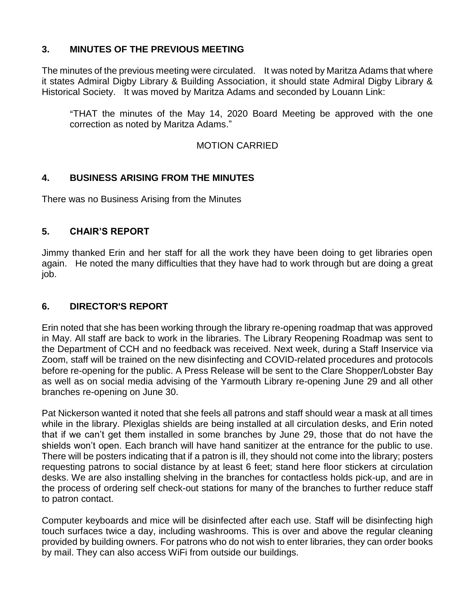# **3. MINUTES OF THE PREVIOUS MEETING**

The minutes of the previous meeting were circulated. It was noted by Maritza Adams that where it states Admiral Digby Library & Building Association, it should state Admiral Digby Library & Historical Society. It was moved by Maritza Adams and seconded by Louann Link:

"THAT the minutes of the May 14, 2020 Board Meeting be approved with the one correction as noted by Maritza Adams."

### MOTION CARRIED

### **4. BUSINESS ARISING FROM THE MINUTES**

There was no Business Arising from the Minutes

#### **5. CHAIR'S REPORT**

Jimmy thanked Erin and her staff for all the work they have been doing to get libraries open again. He noted the many difficulties that they have had to work through but are doing a great job.

#### **6. DIRECTOR**=**S REPORT**

Erin noted that she has been working through the library re-opening roadmap that was approved in May. All staff are back to work in the libraries. The Library Reopening Roadmap was sent to the Department of CCH and no feedback was received. Next week, during a Staff Inservice via Zoom, staff will be trained on the new disinfecting and COVID-related procedures and protocols before re-opening for the public. A Press Release will be sent to the Clare Shopper/Lobster Bay as well as on social media advising of the Yarmouth Library re-opening June 29 and all other branches re-opening on June 30.

Pat Nickerson wanted it noted that she feels all patrons and staff should wear a mask at all times while in the library. Plexiglas shields are being installed at all circulation desks, and Erin noted that if we can't get them installed in some branches by June 29, those that do not have the shields won't open. Each branch will have hand sanitizer at the entrance for the public to use. There will be posters indicating that if a patron is ill, they should not come into the library; posters requesting patrons to social distance by at least 6 feet; stand here floor stickers at circulation desks. We are also installing shelving in the branches for contactless holds pick-up, and are in the process of ordering self check-out stations for many of the branches to further reduce staff to patron contact.

Computer keyboards and mice will be disinfected after each use. Staff will be disinfecting high touch surfaces twice a day, including washrooms. This is over and above the regular cleaning provided by building owners. For patrons who do not wish to enter libraries, they can order books by mail. They can also access WiFi from outside our buildings.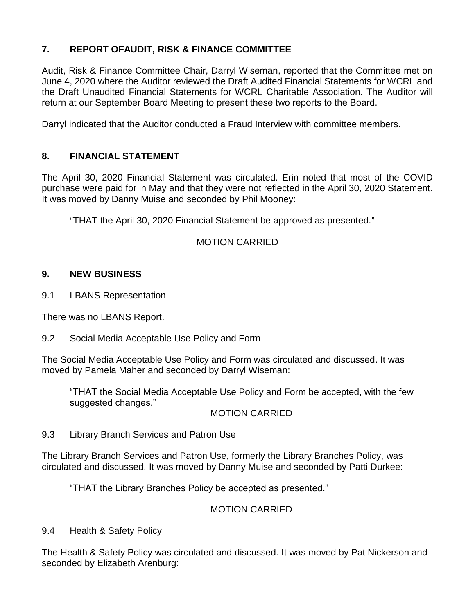# **7. REPORT OFAUDIT, RISK & FINANCE COMMITTEE**

Audit, Risk & Finance Committee Chair, Darryl Wiseman, reported that the Committee met on June 4, 2020 where the Auditor reviewed the Draft Audited Financial Statements for WCRL and the Draft Unaudited Financial Statements for WCRL Charitable Association. The Auditor will return at our September Board Meeting to present these two reports to the Board.

Darryl indicated that the Auditor conducted a Fraud Interview with committee members.

# **8. FINANCIAL STATEMENT**

The April 30, 2020 Financial Statement was circulated. Erin noted that most of the COVID purchase were paid for in May and that they were not reflected in the April 30, 2020 Statement. It was moved by Danny Muise and seconded by Phil Mooney:

"THAT the April 30, 2020 Financial Statement be approved as presented."

# MOTION CARRIED

# **9. NEW BUSINESS**

9.1 LBANS Representation

There was no LBANS Report.

9.2 Social Media Acceptable Use Policy and Form

The Social Media Acceptable Use Policy and Form was circulated and discussed. It was moved by Pamela Maher and seconded by Darryl Wiseman:

"THAT the Social Media Acceptable Use Policy and Form be accepted, with the few suggested changes."

#### MOTION CARRIED

9.3 Library Branch Services and Patron Use

The Library Branch Services and Patron Use, formerly the Library Branches Policy, was circulated and discussed. It was moved by Danny Muise and seconded by Patti Durkee:

"THAT the Library Branches Policy be accepted as presented."

# MOTION CARRIED

9.4 Health & Safety Policy

The Health & Safety Policy was circulated and discussed. It was moved by Pat Nickerson and seconded by Elizabeth Arenburg: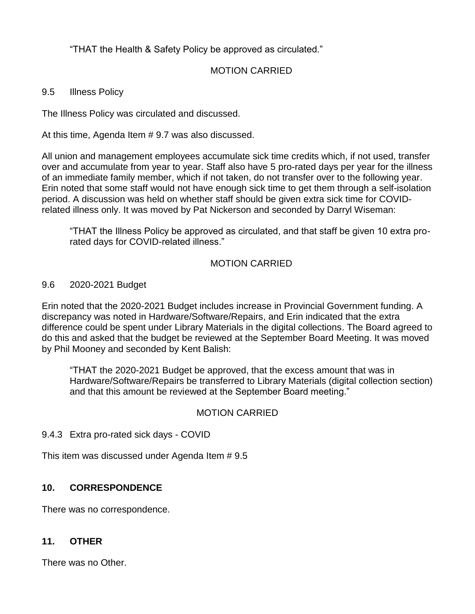"THAT the Health & Safety Policy be approved as circulated."

# MOTION CARRIED

#### 9.5 Illness Policy

The Illness Policy was circulated and discussed.

At this time, Agenda Item # 9.7 was also discussed.

All union and management employees accumulate sick time credits which, if not used, transfer over and accumulate from year to year. Staff also have 5 pro-rated days per year for the illness of an immediate family member, which if not taken, do not transfer over to the following year. Erin noted that some staff would not have enough sick time to get them through a self-isolation period. A discussion was held on whether staff should be given extra sick time for COVIDrelated illness only. It was moved by Pat Nickerson and seconded by Darryl Wiseman:

"THAT the Illness Policy be approved as circulated, and that staff be given 10 extra prorated days for COVID-related illness."

### MOTION CARRIED

### 9.6 2020-2021 Budget

Erin noted that the 2020-2021 Budget includes increase in Provincial Government funding. A discrepancy was noted in Hardware/Software/Repairs, and Erin indicated that the extra difference could be spent under Library Materials in the digital collections. The Board agreed to do this and asked that the budget be reviewed at the September Board Meeting. It was moved by Phil Mooney and seconded by Kent Balish:

"THAT the 2020-2021 Budget be approved, that the excess amount that was in Hardware/Software/Repairs be transferred to Library Materials (digital collection section) and that this amount be reviewed at the September Board meeting."

# MOTION CARRIED

9.4.3 Extra pro-rated sick days - COVID

This item was discussed under Agenda Item # 9.5

# **10. CORRESPONDENCE**

There was no correspondence.

# **11. OTHER**

There was no Other.